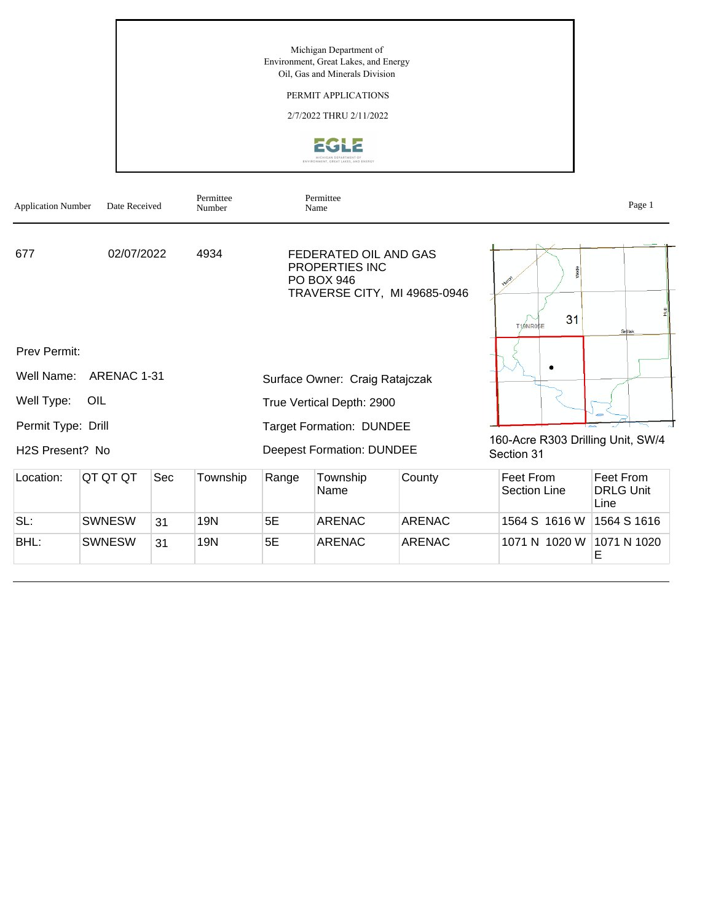

TRAVERSE CITY, MI 49685-0946

Prev Permit:

H2S Present? No

|                    | Well Name: ARENAC 1-31 | Surface Owner: Craig Ratajczak  |
|--------------------|------------------------|---------------------------------|
| Well Type: OIL     |                        | True Vertical Depth: 2900       |
| Permit Type: Drill |                        | <b>Target Formation: DUNDEE</b> |

31 T19NR05E ٠

160-Acre R303 Drilling Unit, SW/4 Section 31

| Location: | IQT QT QT     | Sec | Township | Range | Township<br>Name | County        | Feet From<br>Section Line | Feet From<br><b>DRLG Unit</b><br>Line |
|-----------|---------------|-----|----------|-------|------------------|---------------|---------------------------|---------------------------------------|
| SL:       | <b>SWNESW</b> | 31  | 19N      | 5Е    | ARENAC           | ARENAC        | 1564 S 1616 W             | 1564 S 1616                           |
| BHL:      | <b>SWNESW</b> | 31  | 19N      | 5E    | ARENAC           | <b>ARENAC</b> | 1071 N 1020 W             | 1071 N 1020                           |

Deepest Formation: DUNDEE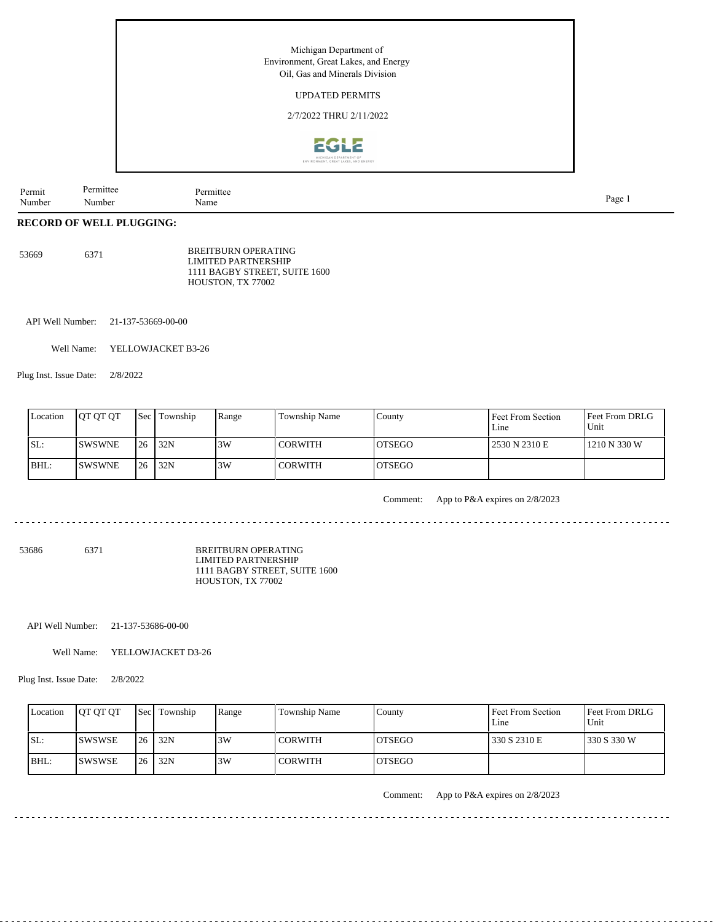

| $\sim$ | 11222222 | mitte |       |
|--------|----------|-------|-------|
| Permit |          |       |       |
| Number | Number   | Name  | Page. |
|        |          |       | 1 uc  |

# **RECORD OF WELL PLUGGING:**

| 53669 | 6371 | BREITBURN OPERATING                                  |
|-------|------|------------------------------------------------------|
|       |      | LIMITED PARTNERSHIP<br>1111 BAGBY STREET, SUITE 1600 |
|       |      | HOUSTON, TX 77002                                    |

API Well Number: 21-137-53669-00-00

Well Name: YELLOWJACKET B3-26

Plug Inst. Issue Date: 2/8/2022

| Location | <b>IOT OT OT</b> |    | <b>Sec Fownship</b> | Range | <b>Township Name</b> | County         | Feet From Section<br>Line | <b>Feet From DRLG</b><br>Unit |
|----------|------------------|----|---------------------|-------|----------------------|----------------|---------------------------|-------------------------------|
| SL:      | <b>ISWSWNE</b>   | 26 | 132N                | 3W    | <b>CORWITH</b>       | IOTSEGO        | 12530 N 2310 E            | 1210 N 330 W                  |
| BHL:     | <b>SWSWNE</b>    | 26 | 32N                 | 3W    | <b>CORWITH</b>       | <b>IOTSEGO</b> |                           |                               |

Comment: App to P&A expires on 2/8/2023

. . . . . . . . . . . . . . . . . . . 

53686 6371

BREITBURN OPERATING LIMITED PARTNERSHIP 1111 BAGBY STREET, SUITE 1600 HOUSTON, TX 77002

API Well Number: 21-137-53686-00-00

Well Name: YELLOWJACKET D3-26

Plug Inst. Issue Date: 2/8/2022

| Location | <b>IOT OT OT</b> |     | <b>Secl Township</b> | Range | Township Name | County         | Feet From Section<br>Line | Feet From DRLG<br>Unit |
|----------|------------------|-----|----------------------|-------|---------------|----------------|---------------------------|------------------------|
| ISL:     | <b>ISWSWSE</b>   | 126 | 32N                  | 13W   | l CORWITH     | IOTSEGO        | 330 S 2310 E              | 1330 S 330 W           |
| BHL:     | <b>ISWSWSE</b>   | 126 | 32N                  | 3W    | I CORWITH     | <b>IOTSEGO</b> |                           |                        |

Comment: App to P&A expires on 2/8/2023

 $- - - - - -$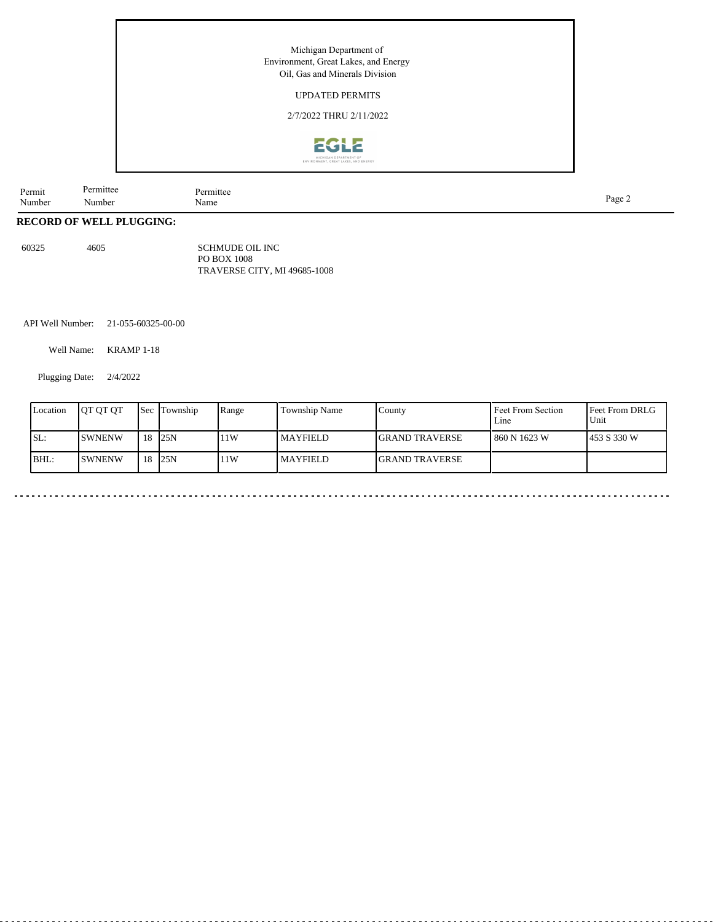## UPDATED PERMITS

2/7/2022 THRU 2/11/2022



| Permit<br>Number | Permittee<br>√umbei | .mıtte<br>Name | Page<br>$\sim$ |
|------------------|---------------------|----------------|----------------|
|                  |                     |                |                |

# **RECORD OF WELL PLUGGING:**

60325 4605

SCHMUDE OIL INC PO BOX 1008 TRAVERSE CITY, MI 49685-1008

API Well Number: 21-055-60325-00-00

Well Name: KRAMP 1-18

Plugging Date: 2/4/2022

| Location | <b>OT OT OT</b> | <b>Sec</b> | Township | Range | <b>Township Name</b> | County                 | Feet From Section<br>Line | Feet From DRLG<br>Unit |
|----------|-----------------|------------|----------|-------|----------------------|------------------------|---------------------------|------------------------|
| ISL:     | <b>SWNENW</b>   | 18         | 125N     | 11W   | MAYFIELD             | <b>IGRAND TRAVERSE</b> | l 860 N 1623 W            | 1453 S 330 W           |
| BHL:     | <b>SWNENW</b>   | 18         | 125N     | 11W   | <b>MAYFIELD</b>      | <b>IGRAND TRAVERSE</b> |                           |                        |

. . . . . . . . . . . . . . .

۵.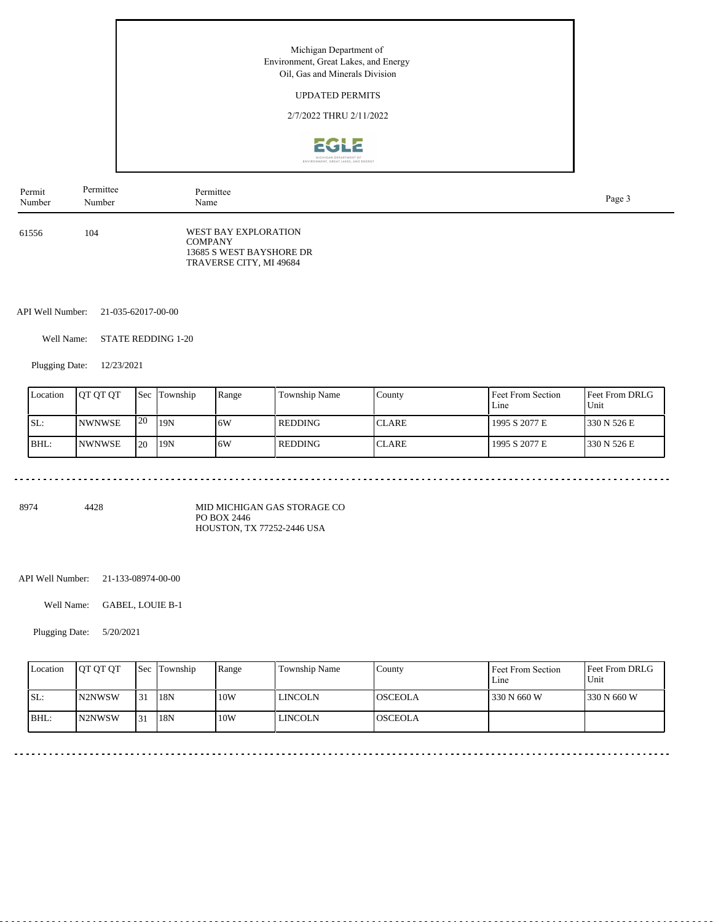## UPDATED PERMITS

2/7/2022 THRU 2/11/2022



| Permit | Permittee | Permittee                                                                                     | Page 3 |
|--------|-----------|-----------------------------------------------------------------------------------------------|--------|
| Number | Number    | Name                                                                                          |        |
| 61556  | 104       | WEST BAY EXPLORATION<br><b>COMPANY</b><br>13685 S WEST BAYSHORE DR<br>TRAVERSE CITY, MI 49684 |        |

API Well Number: 21-035-62017-00-00

Well Name: STATE REDDING 1-20

Plugging Date: 12/23/2021

| Location | <b>IOT OT OT</b> |                 | <b>Sec</b> Township | Range | <b>Township Name</b> | County        | Feet From Section<br>Line | <b>Feet From DRLG</b><br>Unit |
|----------|------------------|-----------------|---------------------|-------|----------------------|---------------|---------------------------|-------------------------------|
| SL:      | <b>NWNWSE</b>    | 120             | 119N                | ا 6W  | l REDDING            | <b>ICLARE</b> | 1995 S 2077 E             | 1330 N 526 E                  |
| BHL:     | INWNWSE          | I <sub>20</sub> | 119N                | 16W   | l REDDING            | <b>ICLARE</b> | 1995 S 2077 E             | 1330 N 526 E                  |

8974 4428

MID MICHIGAN GAS STORAGE CO PO BOX 2446 HOUSTON, TX 77252-2446 USA

API Well Number: 21-133-08974-00-00

Well Name: GABEL, LOUIE B-1

Plugging Date: 5/20/2021

| Location | <b>IOT OT OT</b>    |      | <b>Sec</b> Township | Range | Township Name | County          | Feet From Section<br>Line | Feet From DRLG<br>Unit |
|----------|---------------------|------|---------------------|-------|---------------|-----------------|---------------------------|------------------------|
| ISL:     | N <sub>2</sub> NWSW | l 31 | 18N                 | 10W   | l lincoln     | IOSCEOLA        | 330 N 660 W               | 330 N 660 W            |
| BHL:     | IN2NWSW             | 131  | 18N                 | 10W   | l lincoln     | <b>IOSCEOLA</b> |                           |                        |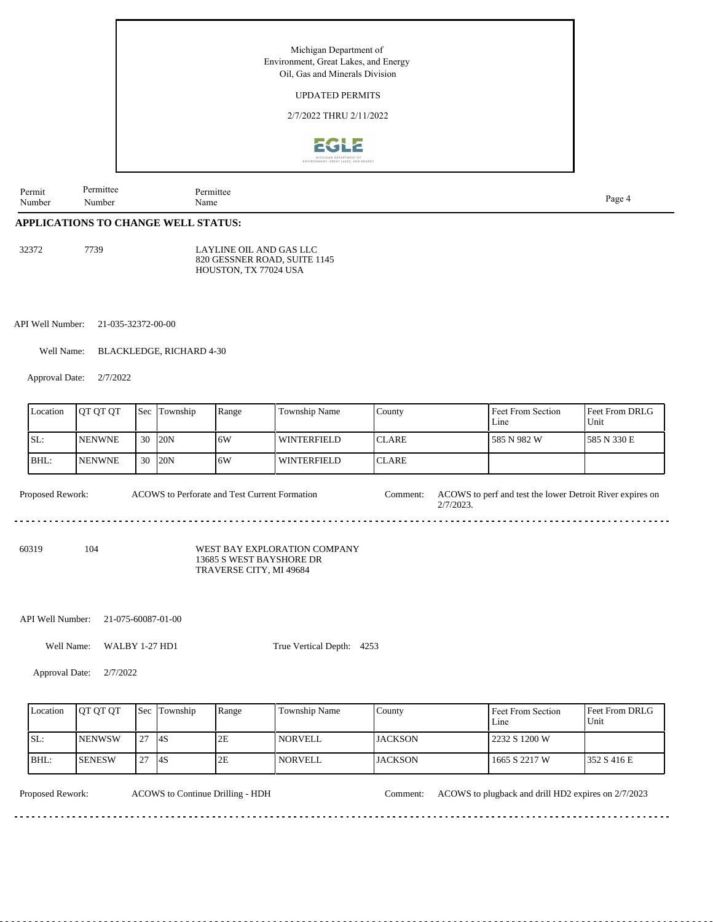

# **APPLICATIONS TO CHANGE WELL STATUS:**

32372 7739

LAYLINE OIL AND GAS LLC 820 GESSNER ROAD, SUITE 1145 HOUSTON, TX 77024 USA

API Well Number: 21-035-32372-00-00

Well Name: BLACKLEDGE, RICHARD 4-30

Approval Date: 2/7/2022

|       | Location                                                                 | OT QT QT      | <b>Sec</b> | Township | Range | Township Name                | County        |              | Feet From Section<br>Line                                 | Feet From DRLG<br>Unit |
|-------|--------------------------------------------------------------------------|---------------|------------|----------|-------|------------------------------|---------------|--------------|-----------------------------------------------------------|------------------------|
| SL:   |                                                                          | <b>NENWNE</b> | 30         | 20N      | 6W    | <b>WINTERFIELD</b>           | <b>ICLARE</b> |              | 585 N 982 W                                               | 585 N 330 E            |
| BHL:  |                                                                          | <b>NENWNE</b> | 30         | 120N     | 6W    | <b>WINTERFIELD</b>           | <b>CLARE</b>  |              |                                                           |                        |
|       | <b>Proposed Rework:</b><br>ACOWS to Perforate and Test Current Formation |               |            |          |       |                              |               | $2/7/2023$ . | ACOWS to perf and test the lower Detroit River expires on |                        |
| 60319 |                                                                          | 104           |            |          |       | WEST BAY EXPLORATION COMPANY |               |              |                                                           |                        |

13685 S WEST BAYSHORE DR TRAVERSE CITY, MI 49684

API Well Number: 21-075-60087-01-00

Well Name: WALBY 1-27 HD1

True Vertical Depth: 4253

Approval Date: 2/7/2022

| Location | <b>OT OT OT</b> |               | <b>Sec</b> Township | Range | Township Name  | County         | Feet From Section<br>Line | <b>IFeet From DRLG</b><br>l Unit |
|----------|-----------------|---------------|---------------------|-------|----------------|----------------|---------------------------|----------------------------------|
| SL:      | <b>INENWSW</b>  | .27           | $-4S$               | 2E    | NORVELL.       | LJACKSON       | 2232 S 1200 W             |                                  |
| $IBHL$ : | <b>ISENESW</b>  | $\mathcal{L}$ | <b>4S</b>           | 2E    | <b>NORVELL</b> | <b>JACKSON</b> | 1665 S 2217 W             | 1352 S 416 E                     |

 $\frac{1}{2}$ 

ACOWS to Continue Drilling - HDH

Proposed Rework: ACOWS to Continue Drilling - HDH Comment: ACOWS to plugback and drill HD2 expires on 2/7/2023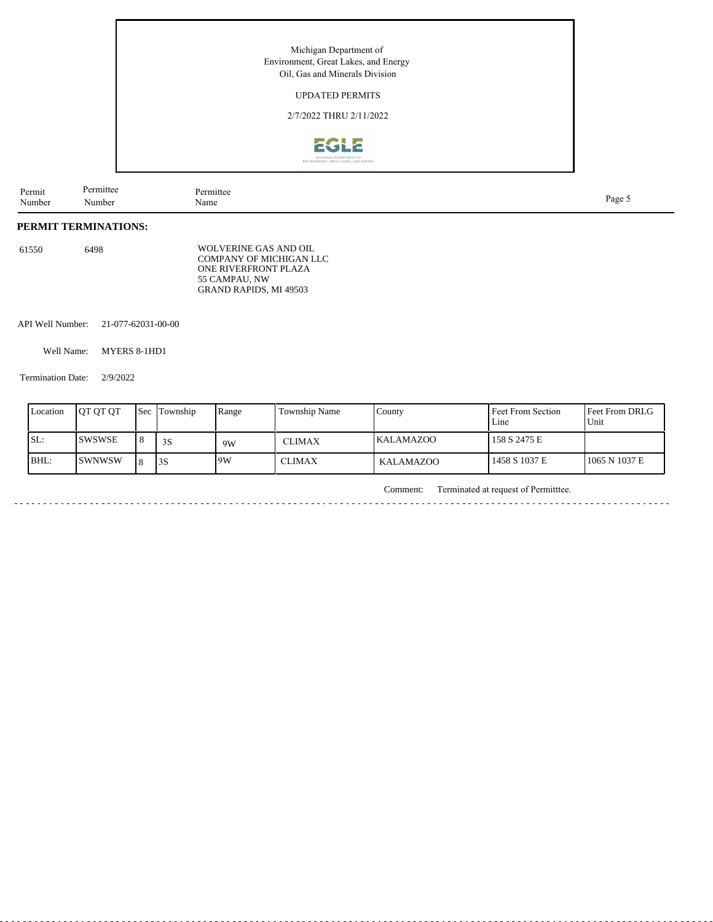## UPDATED PERMITS

2/7/2022 THRU 2/11/2022



Permit Number Permittee Number Permittee<br>Name Name Page 5

#### **PERMIT TERMINATIONS:**

| 61550 | 6498 | WOLVERINE GAS AND OIL   |
|-------|------|-------------------------|
|       |      | COMPANY OF MICHIGAN LLC |
|       |      | ONE RIVERFRONT PLAZA    |
|       |      | 55 CAMPAU. NW           |
|       |      | GRAND RAPIDS, MI 49503  |

API Well Number: 21-077-62031-00-00

Well Name: MYERS 8-1HD1

Termination Date: 2/9/2022

 $\sim$   $\sim$ 

| Location | IOT OT OT      | l Sec | Township | Range | Township Name | County           | Feet From Section<br>Line | <b>Feet From DRLG</b><br>Unit |
|----------|----------------|-------|----------|-------|---------------|------------------|---------------------------|-------------------------------|
| SL:      | ISWSWSE        | 8     | 3S       | 9W    | <b>CLIMAX</b> | <b>KALAMAZOO</b> | 158 S 2475 E              |                               |
| BHL:     | <b>ISWNWSW</b> | ΙQ    | 3S       | 19W   | CLIMAX        | KALAMAZOO        | 1458 S 1037 E             | 1065 N 1037 E                 |

Comment: Terminated at request of Permitttee.